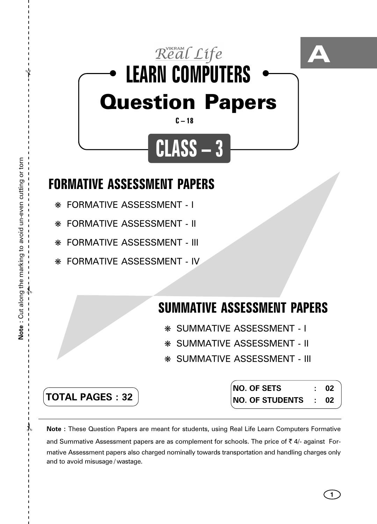

## **FORMATIVE ASSESSMENT PAPERS**

- ❋ FORMATIVE ASSESSMENT I
- ❋ FORMATIVE ASSESSMENT II
- ❋ FORMATIVE ASSESSMENT III
- ❋ FORMATIVE ASSESSMENT IV

## **SUMMATIVE ASSESSMENT PAPERS**

- ❋ SUMMATIVE ASSESSMENT I
- ❋ SUMMATIVE ASSESSMENT II
- ❋ SUMMATIVE ASSESSMENT III

**TOTAL PAGES : 32**

**NO. OF SETS : 02 NO. OF STUDENTS : 02**

**Note :** These Question Papers are meant for students, using Real Life Learn Computers Formative and Summative Assessment papers are as complement for schools. The price of  $\bar{\tau}$  4/- against Formative Assessment papers also charged nominally towards transportation and handling charges only and to avoid misusage / wastage.

 $\lambda$ 

✃

**1**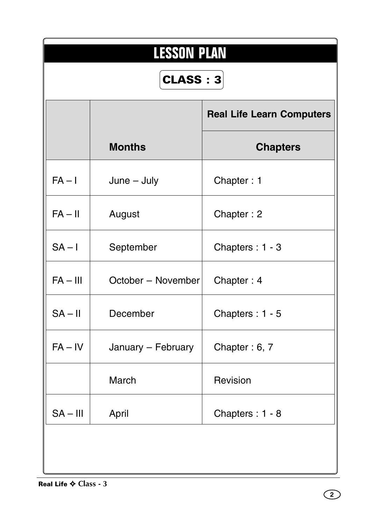|            | <b>LESSON PLAN</b><br>CLASS: 3 |                                  |  |  |  |  |  |  |  |  |
|------------|--------------------------------|----------------------------------|--|--|--|--|--|--|--|--|
|            |                                | <b>Real Life Learn Computers</b> |  |  |  |  |  |  |  |  |
|            | <b>Months</b>                  | <b>Chapters</b>                  |  |  |  |  |  |  |  |  |
| $FA - I$   | $June - July$                  | Chapter: 1                       |  |  |  |  |  |  |  |  |
| $FA - II$  | August                         | Chapter: 2                       |  |  |  |  |  |  |  |  |
| $SA - I$   | September                      | Chapters: 1 - 3                  |  |  |  |  |  |  |  |  |
| $FA - III$ | October - November             | Chapter: 4                       |  |  |  |  |  |  |  |  |
| $SA - II$  | December                       | Chapters: 1 - 5                  |  |  |  |  |  |  |  |  |
| $FA - IV$  | January - February             | Chapter: 6, 7                    |  |  |  |  |  |  |  |  |
|            | March                          | Revision                         |  |  |  |  |  |  |  |  |
| $SA - III$ | April                          | Chapters: 1 - 8                  |  |  |  |  |  |  |  |  |
|            |                                |                                  |  |  |  |  |  |  |  |  |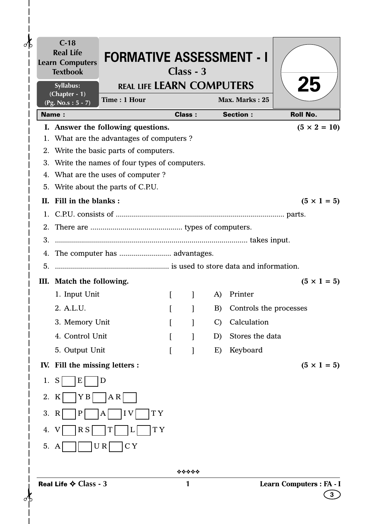| o⁄ի           |    | $C-18$<br><b>Real Life</b><br><b>Learn Computers</b><br><b>Textbook</b> | <b>FORMATIVE ASSESSMENT - I</b>                                                 |          | $Class - 3$   |                 |                        |                          |
|---------------|----|-------------------------------------------------------------------------|---------------------------------------------------------------------------------|----------|---------------|-----------------|------------------------|--------------------------|
|               |    | Syllabus:<br>(Chapter - 1)                                              | <b>REAL LIFE LEARN COMPUTERS</b>                                                |          |               |                 |                        | 25                       |
|               |    | (Pg. No.s: $5 - 7$ )                                                    | Time: 1 Hour                                                                    |          |               |                 | Max. Marks: 25         |                          |
|               |    | <b>Name:</b>                                                            |                                                                                 |          | <b>Class:</b> |                 | <b>Section:</b>        | <b>Roll No.</b>          |
|               |    |                                                                         | I. Answer the following questions.<br>1. What are the advantages of computers ? |          |               |                 |                        | $(5 \times 2 = 10)$      |
|               |    |                                                                         | 2. Write the basic parts of computers.                                          |          |               |                 |                        |                          |
|               |    |                                                                         | 3. Write the names of four types of computers.                                  |          |               |                 |                        |                          |
|               |    |                                                                         | 4. What are the uses of computer?                                               |          |               |                 |                        |                          |
|               |    |                                                                         | 5. Write about the parts of C.P.U.                                              |          |               |                 |                        |                          |
|               |    | II. Fill in the blanks:                                                 |                                                                                 |          |               |                 |                        | $(5 \times 1 = 5)$       |
|               |    |                                                                         |                                                                                 |          |               |                 |                        |                          |
|               |    |                                                                         |                                                                                 |          |               |                 |                        |                          |
|               | 3. |                                                                         |                                                                                 |          |               |                 |                        |                          |
|               |    |                                                                         | 4. The computer has  advantages.                                                |          |               |                 |                        |                          |
|               | 5. |                                                                         |                                                                                 |          |               |                 |                        |                          |
|               |    | III. Match the following.                                               |                                                                                 |          |               |                 |                        | $(5 \times 1 = 5)$       |
|               |    | 1. Input Unit                                                           |                                                                                 | $\Gamma$ |               | A)              | Printer                |                          |
|               |    | 2. A.L.U.                                                               |                                                                                 |          |               | B)              | Controls the processes |                          |
|               |    | 3. Memory Unit                                                          |                                                                                 |          |               | $\mathcal{C}$ ) | Calculation            |                          |
|               |    | 4. Control Unit                                                         |                                                                                 |          |               | D)              | Stores the data        |                          |
|               |    | 5. Output Unit                                                          |                                                                                 | L        | 1             | E)              | Keyboard               |                          |
|               |    | IV. Fill the missing letters :                                          |                                                                                 |          |               |                 |                        | $(5 \times 1 = 5)$       |
|               | 1. | S<br>E                                                                  | D                                                                               |          |               |                 |                        |                          |
|               | 2. | ΥB<br>K                                                                 | AR                                                                              |          |               |                 |                        |                          |
|               | 3. | P<br>$\mathbb{R}$                                                       | TY <sub></sub><br>I <sub>V</sub><br>A                                           |          |               |                 |                        |                          |
|               |    |                                                                         | T Y                                                                             |          |               |                 |                        |                          |
|               | 4. | R S                                                                     |                                                                                 |          |               |                 |                        |                          |
|               | 5. | A                                                                       | C <sub>Y</sub><br>U R                                                           |          |               |                 |                        |                          |
|               |    |                                                                         |                                                                                 |          | *****         |                 |                        |                          |
|               |    | Real Life $\Leftrightarrow$ Class - 3                                   |                                                                                 |          | 1             |                 |                        | Learn Computers : FA - I |
| $\mathcal{A}$ |    |                                                                         |                                                                                 |          |               |                 |                        | 3.                       |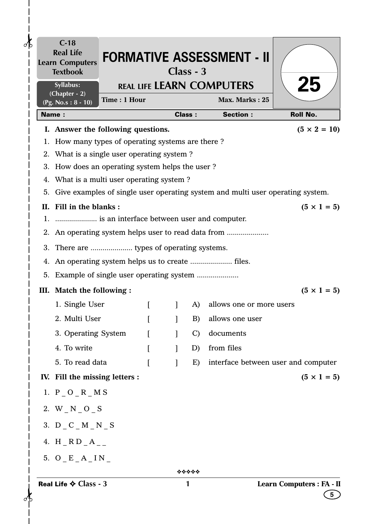| ďЬ | $C-18$<br><b>Real Life</b><br><b>Learn Computers</b><br><b>Textbook</b>   |              |          |              | $Class - 3$   | <b>FORMATIVE ASSESSMENT - II</b>                                                  |                                              |
|----|---------------------------------------------------------------------------|--------------|----------|--------------|---------------|-----------------------------------------------------------------------------------|----------------------------------------------|
|    | Syllabus:                                                                 |              |          |              |               | <b>REAL LIFE LEARN COMPUTERS</b>                                                  | 25                                           |
|    | (Chapter - 2)<br>(Pg. No.s: $8 - 10$ )                                    | Time: 1 Hour |          |              |               | Max. Marks: 25                                                                    |                                              |
|    | <b>Name:</b>                                                              |              |          |              | <b>Class:</b> | <b>Section:</b>                                                                   | <b>Roll No.</b>                              |
|    | I. Answer the following questions.                                        |              |          |              |               |                                                                                   | $(5 \times 2 = 10)$                          |
| 1. | How many types of operating systems are there?                            |              |          |              |               |                                                                                   |                                              |
|    | 2. What is a single user operating system?                                |              |          |              |               |                                                                                   |                                              |
|    | 3. How does an operating system helps the user?                           |              |          |              |               |                                                                                   |                                              |
|    | 4. What is a multi user operating system?                                 |              |          |              |               |                                                                                   |                                              |
|    |                                                                           |              |          |              |               | 5. Give examples of single user operating system and multi user operating system. |                                              |
|    | II. Fill in the blanks:<br>1.  is an interface between user and computer. |              |          |              |               |                                                                                   | $(5 \times 1 = 5)$                           |
|    |                                                                           |              |          |              |               | 2. An operating system helps user to read data from                               |                                              |
|    |                                                                           |              |          |              |               |                                                                                   |                                              |
|    | 3. There are  types of operating systems.                                 |              |          |              |               |                                                                                   |                                              |
|    |                                                                           |              |          |              |               |                                                                                   |                                              |
|    |                                                                           |              |          |              |               |                                                                                   |                                              |
|    | III. Match the following :                                                |              |          |              |               |                                                                                   | $(5 \times 1 = 5)$                           |
|    | 1. Single User                                                            |              | $\Gamma$ |              | A)            | allows one or more users                                                          |                                              |
|    | 2. Multi User                                                             |              |          |              | B)            | allows one user                                                                   |                                              |
|    | 3. Operating System                                                       |              | ſ        | 1            | $\mathcal{C}$ | documents                                                                         |                                              |
|    | 4. To write                                                               |              | L        |              | D)            | from files                                                                        |                                              |
|    | 5. To read data                                                           |              | ſ        | $\mathbf{I}$ | E)            | interface between user and computer                                               |                                              |
|    | IV. Fill the missing letters :                                            |              |          |              |               |                                                                                   | $(5 \times 1 = 5)$                           |
|    | 1. P O R M S                                                              |              |          |              |               |                                                                                   |                                              |
|    | 2. $W_N_O_S$                                                              |              |          |              |               |                                                                                   |                                              |
|    | 3. $D_C_M_M_N$                                                            |              |          |              |               |                                                                                   |                                              |
|    | 4. $H_R D_A$                                                              |              |          |              |               |                                                                                   |                                              |
|    | 5. $O$ $E$ $A$ $IN$                                                       |              |          |              |               |                                                                                   |                                              |
|    |                                                                           |              |          |              | *****         |                                                                                   |                                              |
|    | Real Life $\diamond$ Class - 3                                            |              |          |              | 1             |                                                                                   | Learn Computers : FA - II<br>$5\phantom{.0}$ |

 $\mathbf{I}$  $\mathsf{l}$  $\overline{\phantom{a}}$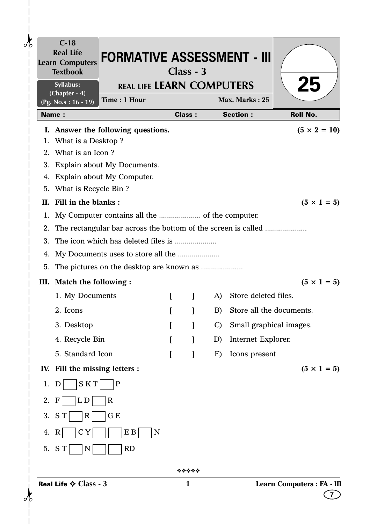|                   | $C-18$<br><b>Real Life</b><br><b>Learn Computers</b><br><b>Textbook</b> | <b>FORMATIVE ASSESSMENT - III</b>  |          | $Class - 3$   |    |                            |                            |
|-------------------|-------------------------------------------------------------------------|------------------------------------|----------|---------------|----|----------------------------|----------------------------|
|                   | Syllabus:<br>(Chapter - 4)                                              | <b>REAL LIFE LEARN COMPUTERS</b>   |          |               |    |                            | <b>25</b>                  |
|                   | $(Pg. No.s: 16 - 19)$                                                   | Time: 1 Hour                       |          |               |    | Max. Marks: 25             |                            |
| <b>Name:</b>      |                                                                         |                                    |          | <b>Class:</b> |    | <b>Section:</b>            | <b>Roll No.</b>            |
|                   |                                                                         | I. Answer the following questions. |          |               |    |                            | $(5 \times 2 = 10)$        |
| 1.                | What is a Desktop?                                                      |                                    |          |               |    |                            |                            |
|                   | 2. What is an Icon?                                                     | 3. Explain about My Documents.     |          |               |    |                            |                            |
|                   |                                                                         | 4. Explain about My Computer.      |          |               |    |                            |                            |
|                   | 5. What is Recycle Bin ?                                                |                                    |          |               |    |                            |                            |
|                   | II. Fill in the blanks:                                                 |                                    |          |               |    |                            | $(5 \times 1 = 5)$         |
| 1.                |                                                                         |                                    |          |               |    |                            |                            |
| 2.                |                                                                         |                                    |          |               |    |                            |                            |
| 3.                |                                                                         |                                    |          |               |    |                            |                            |
| 4.                |                                                                         |                                    |          |               |    |                            |                            |
| 5.                |                                                                         |                                    |          |               |    |                            |                            |
|                   |                                                                         | III. Match the following :         |          |               |    |                            | $(5 \times 1 = 5)$         |
|                   | 1. My Documents                                                         |                                    | $\Gamma$ | $\mathbf{I}$  | A) | Store deleted files.       |                            |
|                   | 2. Icons                                                                |                                    |          |               | B) | Store all the documents.   |                            |
|                   | 3. Desktop                                                              |                                    |          | $\mathbf{I}$  |    | C) Small graphical images. |                            |
|                   | 4. Recycle Bin                                                          |                                    |          |               | D) | Internet Explorer.         |                            |
|                   | 5. Standard Icon                                                        |                                    |          |               | E) | Icons present              |                            |
|                   |                                                                         | IV. Fill the missing letters :     |          |               |    |                            | $(5 \times 1 = 5)$         |
| 1.<br>D           | <b>SKT</b>                                                              | $\mathbf P$                        |          |               |    |                            |                            |
| 2.<br>$\mathbf F$ | L D                                                                     | $\mathbf R$                        |          |               |    |                            |                            |
| 3.<br>S T         | $\mathbf{R}$                                                            | G E                                |          |               |    |                            |                            |
|                   |                                                                         |                                    |          |               |    |                            |                            |
| 4. R<br>5. ST     | C Y<br>N                                                                | E B<br>N<br><b>RD</b>              |          |               |    |                            |                            |
|                   |                                                                         |                                    |          |               |    |                            |                            |
|                   |                                                                         |                                    |          | *****         |    |                            |                            |
|                   | Real Life $\Leftrightarrow$ Class - 3                                   |                                    |          | 1             |    |                            | Learn Computers : FA - III |
|                   |                                                                         |                                    |          |               |    |                            | $\overline{\mathbf{r}}$    |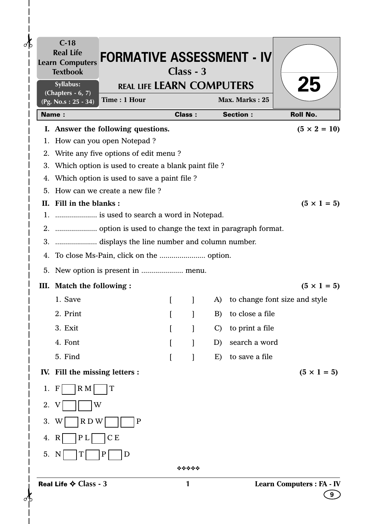| $C-18$<br><b>Real Life</b><br><b>Learn Computers</b><br><b>Textbook</b> | <b>FORMATIVE ASSESSMENT - IV</b>                    | $Class - 3$   |              |    |                 |                                  |
|-------------------------------------------------------------------------|-----------------------------------------------------|---------------|--------------|----|-----------------|----------------------------------|
| <b>Syllabus:</b><br>(Chapters $-6, 7$ )                                 | <b>REAL LIFE LEARN COMPUTERS</b><br>Time: 1 Hour    |               |              |    | Max. Marks: 25  | 25                               |
| (Pg. No.s: 25 - 34)<br><b>Name:</b>                                     |                                                     | <b>Class:</b> |              |    | <b>Section:</b> | <b>Roll No.</b>                  |
|                                                                         | I. Answer the following questions.                  |               |              |    |                 | $(5 \times 2 = 10)$              |
|                                                                         | 1. How can you open Notepad ?                       |               |              |    |                 |                                  |
| 2.                                                                      | Write any five options of edit menu?                |               |              |    |                 |                                  |
| 3.                                                                      | Which option is used to create a blank paint file ? |               |              |    |                 |                                  |
| 4.                                                                      | Which option is used to save a paint file ?         |               |              |    |                 |                                  |
|                                                                         | 5. How can we create a new file?                    |               |              |    |                 |                                  |
| Fill in the blanks:<br>П.                                               |                                                     |               |              |    |                 | $(5 \times 1 = 5)$               |
|                                                                         |                                                     |               |              |    |                 |                                  |
|                                                                         |                                                     |               |              |    |                 |                                  |
|                                                                         | 3.  displays the line number and column number.     |               |              |    |                 |                                  |
| 4.                                                                      |                                                     |               |              |    |                 |                                  |
| 5.                                                                      |                                                     |               |              |    |                 |                                  |
| III. Match the following :                                              |                                                     |               |              |    |                 | $(5 \times 1 = 5)$               |
| 1. Save                                                                 |                                                     | $\Gamma$      | $\mathbf{I}$ | A) |                 | to change font size and style    |
| 2. Print                                                                |                                                     |               |              | B) | to close a file |                                  |
| 3. Exit                                                                 |                                                     |               |              | C) | to print a file |                                  |
| 4. Font                                                                 |                                                     |               |              | D) | search a word   |                                  |
| 5. Find                                                                 |                                                     |               |              | E) | to save a file  |                                  |
| IV. Fill the missing letters :                                          |                                                     |               |              |    |                 | $(5 \times 1 = 5)$               |
| $R_{M}$<br>$\mathbf{F}$<br>1.                                           | T                                                   |               |              |    |                 |                                  |
| W<br>2.                                                                 |                                                     |               |              |    |                 |                                  |
| RDW<br>3.<br>W                                                          | $\mathbf P$                                         |               |              |    |                 |                                  |
| P L<br>4.<br>$\mathbf R$                                                | C E                                                 |               |              |    |                 |                                  |
| 5.<br>$\mathbb N$                                                       | P<br>D                                              |               |              |    |                 |                                  |
|                                                                         |                                                     |               | *****        |    |                 |                                  |
| Real Life $\diamond$ Class - 3                                          |                                                     | 1             |              |    |                 | <b>Learn Computers : FA - IV</b> |
|                                                                         |                                                     |               |              |    |                 |                                  |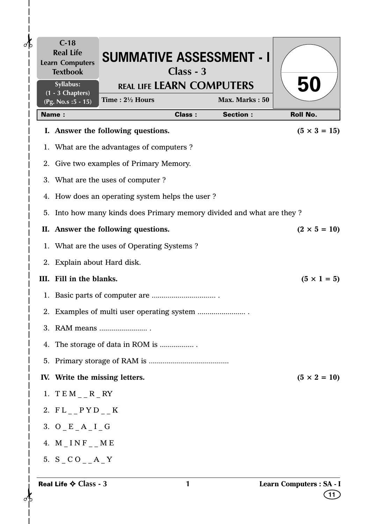| $\delta$ |    | $C-18$<br><b>Real Life</b><br><b>Learn Computers</b><br><b>Textbook</b> | <b>SUMMATIVE ASSESSMENT - I</b>                                    | Class - 3     |                 |                                               |
|----------|----|-------------------------------------------------------------------------|--------------------------------------------------------------------|---------------|-----------------|-----------------------------------------------|
|          |    | Syllabus:<br>$\overline{(1 - 3 \text{ Chapters})}$                      | <b>REAL LIFE LEARN COMPUTERS</b>                                   |               |                 | 50                                            |
|          |    | (Pg. No.s : 5 - 15)                                                     | Time: $2\frac{1}{2}$ Hours                                         |               | Max. Marks: 50  |                                               |
|          |    | <b>Name:</b>                                                            |                                                                    | <b>Class:</b> | <b>Section:</b> | <b>Roll No.</b>                               |
|          |    |                                                                         | I. Answer the following questions.                                 |               |                 | $(5 \times 3 = 15)$                           |
|          |    |                                                                         | 1. What are the advantages of computers ?                          |               |                 |                                               |
|          |    |                                                                         | 2. Give two examples of Primary Memory.                            |               |                 |                                               |
|          |    |                                                                         | 3. What are the uses of computer?                                  |               |                 |                                               |
|          |    |                                                                         | 4. How does an operating system helps the user?                    |               |                 |                                               |
|          | 5. |                                                                         | Into how many kinds does Primary memory divided and what are they? |               |                 |                                               |
|          |    |                                                                         | II. Answer the following questions.                                |               |                 | $(2 \times 5 = 10)$                           |
|          |    |                                                                         | 1. What are the uses of Operating Systems?                         |               |                 |                                               |
|          |    | 2. Explain about Hard disk.                                             |                                                                    |               |                 |                                               |
|          |    | III. Fill in the blanks.                                                |                                                                    |               |                 | $(5 \times 1 = 5)$                            |
|          |    |                                                                         |                                                                    |               |                 |                                               |
|          |    |                                                                         |                                                                    |               |                 |                                               |
|          |    |                                                                         | 3. RAM means                                                       |               |                 |                                               |
|          | 4. |                                                                         | The storage of data in ROM is                                      |               |                 |                                               |
|          |    |                                                                         |                                                                    |               |                 |                                               |
|          |    | IV. Write the missing letters.                                          |                                                                    |               |                 | $(5 \times 2 = 10)$                           |
|          |    | 1. $TEM_{--}R_RY$                                                       |                                                                    |               |                 |                                               |
|          |    | 2. $FL_{--}$ $P Y D_{--} K$                                             |                                                                    |               |                 |                                               |
|          |    | 3. $O$ $E$ $A$ $I$ $G$                                                  |                                                                    |               |                 |                                               |
|          |    | 4. $M$ <sub>_</sub> $INF$ <sub>_</sub> _ $ME$                           |                                                                    |               |                 |                                               |
|          |    | 5. $S_CO_A$ $A_Y$                                                       |                                                                    |               |                 |                                               |
|          |    | Real Life $\diamond$ Class - 3                                          |                                                                    | 1             |                 | Learn Computers : SA - I<br>$\left(11\right)$ |

 $\mathbf{I}$  $\overline{\phantom{a}}$  $\mathsf{l}$  $\overline{1}$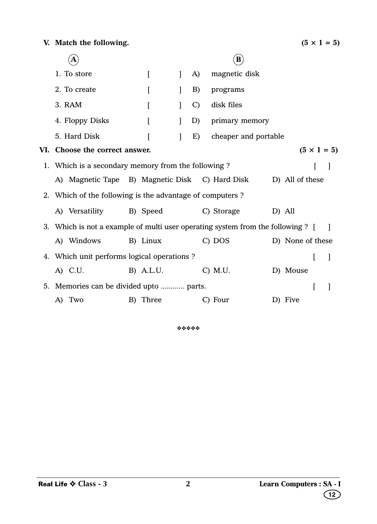|  | Α                                                        |           |              |               |                                                                                 |                          |
|--|----------------------------------------------------------|-----------|--------------|---------------|---------------------------------------------------------------------------------|--------------------------|
|  | 1. To store                                              | $\Gamma$  | $\mathbf{I}$ | A)            | magnetic disk                                                                   |                          |
|  | 2. To create                                             | L         |              | B)            | programs                                                                        |                          |
|  | 3. RAM                                                   | $\Gamma$  | $\mathbf{I}$ | $\mathcal{C}$ | disk files                                                                      |                          |
|  | 4. Floppy Disks                                          |           |              | D)            | primary memory                                                                  |                          |
|  | 5. Hard Disk                                             |           | 1            | E)            | cheaper and portable                                                            |                          |
|  | VI. Choose the correct answer.                           |           |              |               |                                                                                 | $(5 \times 1 = 5)$       |
|  | 1. Which is a secondary memory from the following?       |           |              |               |                                                                                 | $\overline{\phantom{a}}$ |
|  | A) Magnetic Tape B) Magnetic Disk C) Hard Disk           |           |              |               |                                                                                 | D) All of these          |
|  | 2. Which of the following is the advantage of computers? |           |              |               |                                                                                 |                          |
|  | A) Versatility                                           | B) Speed  |              |               | C) Storage                                                                      | D) All                   |
|  |                                                          |           |              |               | 3. Which is not a example of multi user operating system from the following ? [ | $\blacksquare$           |
|  | A) Windows                                               | B) Linux  |              |               | C) DOS                                                                          | D) None of these         |
|  | 4. Which unit performs logical operations ?              |           |              |               |                                                                                 | 1                        |
|  | A) C.U.                                                  | B) A.L.U. |              |               | $C)$ M.U.                                                                       | D) Mouse                 |
|  | 5. Memories can be divided upto  parts.                  |           |              |               |                                                                                 | I<br>1                   |
|  | A) Two                                                   | B) Three  |              |               | C) Four                                                                         | D) Five                  |

❖❖❖❖❖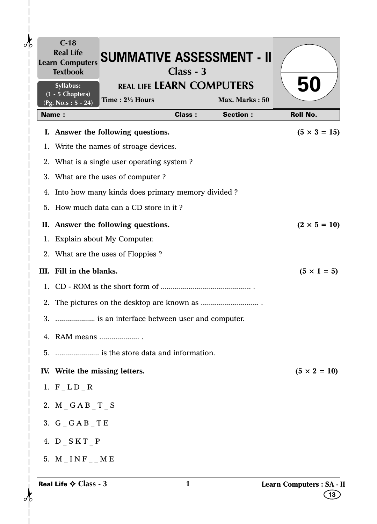|                | $C-18$<br><b>Textbook</b>              | Learn Computers SUMMATIVE ASSESSMENT - II        | $Class - 3$   |                                   |                                       |
|----------------|----------------------------------------|--------------------------------------------------|---------------|-----------------------------------|---------------------------------------|
|                | <b>Syllabus:</b><br>$(1 - 5$ Chapters) | <b>REAL LIFE LEARN COMPUTERS</b>                 |               |                                   | <b>50</b>                             |
|                | (Pg. No.s: 5 - 24)<br><b>Name:</b>     | Time: 21/2 Hours                                 | <b>Class:</b> | Max. Marks: 50<br><b>Section:</b> | <b>Roll No.</b>                       |
|                |                                        | I. Answer the following questions.               |               |                                   | $(5 \times 3 = 15)$                   |
|                |                                        | 1. Write the names of stroage devices.           |               |                                   |                                       |
|                |                                        | 2. What is a single user operating system?       |               |                                   |                                       |
|                |                                        | 3. What are the uses of computer?                |               |                                   |                                       |
| 4.             |                                        | Into how many kinds does primary memory divided? |               |                                   |                                       |
|                |                                        | 5. How much data can a CD store in it?           |               |                                   |                                       |
|                |                                        | II. Answer the following questions.              |               |                                   | $(2 \times 5 = 10)$                   |
|                |                                        | 1. Explain about My Computer.                    |               |                                   |                                       |
|                |                                        | 2. What are the uses of Floppies?                |               |                                   |                                       |
|                | III. Fill in the blanks.               |                                                  |               |                                   | $(5 \times 1 = 5)$                    |
|                |                                        |                                                  |               |                                   |                                       |
| 2.             |                                        |                                                  |               |                                   |                                       |
|                |                                        | 3.  is an interface between user and computer.   |               |                                   |                                       |
|                | 4. RAM means                           |                                                  |               |                                   |                                       |
| 5 <sub>1</sub> |                                        |                                                  |               |                                   |                                       |
|                | IV. Write the missing letters.         |                                                  |               |                                   | $(5 \times 2 = 10)$                   |
|                | 1. $F_LD_R$                            |                                                  |               |                                   |                                       |
|                | 2. M GAB T S                           |                                                  |               |                                   |                                       |
|                | 3. $G_GAB_TE$                          |                                                  |               |                                   |                                       |
|                | 4. $D$ $SKT$ $P$                       |                                                  |               |                                   |                                       |
|                | 5. $M$ $\_$ I N F $\_$ $\_$ M E        |                                                  |               |                                   |                                       |
|                | Real Life $\Leftrightarrow$ Class - 3  |                                                  | 1             |                                   | <b>Learn Computers : SA - I</b><br>13 |

 $\frac{1}{2}$ 

 $\mathbf{I}$  $\overline{\phantom{a}}$  $\overline{\phantom{a}}$  $\mathsf{l}$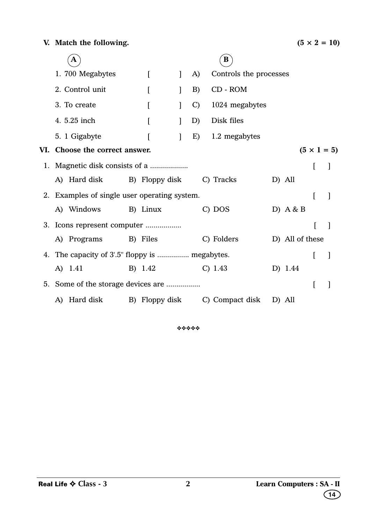|  | A                                              |                  |              |               | B                              |                 |   |                    |
|--|------------------------------------------------|------------------|--------------|---------------|--------------------------------|-----------------|---|--------------------|
|  | 1.700 Megabytes                                | $\left[ \right]$ | $\mathbf{I}$ | A)            | Controls the processes         |                 |   |                    |
|  | 2. Control unit                                | [                |              | B)            | CD - ROM                       |                 |   |                    |
|  | 3. To create                                   |                  |              | $\mathcal{C}$ | 1024 megabytes                 |                 |   |                    |
|  | 4. 5.25 inch                                   | ſ                |              | D)            | Disk files                     |                 |   |                    |
|  | 5. 1 Gigabyte                                  |                  |              | E)            | 1.2 megabytes                  |                 |   |                    |
|  | VI. Choose the correct answer.                 |                  |              |               |                                |                 |   | $(5 \times 1 = 5)$ |
|  |                                                |                  |              |               |                                |                 | L |                    |
|  | A) Hard disk                                   | B) Floppy disk   |              |               | C) Tracks                      | D) All          |   |                    |
|  | 2. Examples of single user operating system.   |                  |              |               |                                |                 | ſ | $\mathbf{I}$       |
|  | A) Windows                                     | B) Linux         |              |               | C) DOS                         | D) $A & B$      |   |                    |
|  |                                                |                  |              |               |                                |                 |   |                    |
|  | A) Programs B) Files                           |                  |              |               | C) Folders                     | D) All of these |   |                    |
|  | 4. The capacity of 3'.5" floppy is  megabytes. |                  |              |               |                                |                 | L | 1                  |
|  | A) 1.41                                        | B) 1.42          |              |               | C) 1.43                        | D) 1.44         |   |                    |
|  |                                                |                  |              |               |                                |                 |   |                    |
|  | A) Hard disk                                   |                  |              |               | B) Floppy disk C) Compact disk | D) All          |   |                    |

❖❖❖❖❖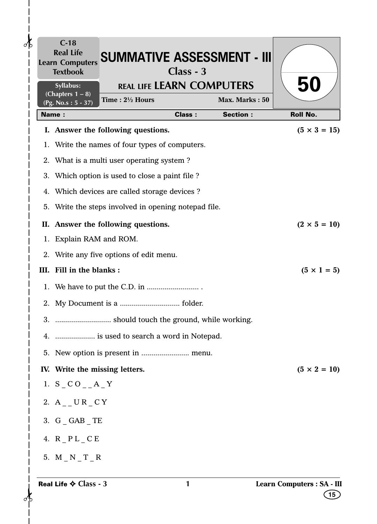|    | <b>Textbook</b>                                          | <b>REAL LIFE LEARN COMPUTERS</b>                  | $Class - 3$   |                 |                     |
|----|----------------------------------------------------------|---------------------------------------------------|---------------|-----------------|---------------------|
|    | Syllabus:<br>(Chapters $1 - 8$ )<br>$(Pg. No.s: 5 - 37)$ | Time: $2\frac{1}{2}$ Hours                        |               | Max. Marks: 50  | 50                  |
|    | <b>Name:</b>                                             |                                                   | <b>Class:</b> | <b>Section:</b> | <b>Roll No.</b>     |
|    |                                                          | I. Answer the following questions.                |               |                 | $(5 \times 3 = 15)$ |
| 1. |                                                          | Write the names of four types of computers.       |               |                 |                     |
|    |                                                          | 2. What is a multi user operating system?         |               |                 |                     |
| 3. |                                                          | Which option is used to close a paint file?       |               |                 |                     |
| 4. |                                                          | Which devices are called storage devices?         |               |                 |                     |
| 5. |                                                          | Write the steps involved in opening notepad file. |               |                 |                     |
|    |                                                          | II. Answer the following questions.               |               |                 | $(2 \times 5 = 10)$ |
| 1. | Explain RAM and ROM.                                     |                                                   |               |                 |                     |
| 2. |                                                          | Write any five options of edit menu.              |               |                 |                     |
|    | III. Fill in the blanks:                                 |                                                   |               |                 | $(5 \times 1 = 5)$  |
|    |                                                          |                                                   |               |                 |                     |
|    |                                                          |                                                   |               |                 |                     |
|    |                                                          |                                                   |               |                 |                     |
|    |                                                          | 4.  is used to search a word in Notepad.          |               |                 |                     |
|    |                                                          |                                                   |               |                 |                     |
|    | IV. Write the missing letters.                           |                                                   |               |                 | $(5 \times 2 = 10)$ |
|    | 1. $S_CO_A$ $A_Y$                                        |                                                   |               |                 |                     |
|    | 2. $A_$ UR $_C$ CY                                       |                                                   |               |                 |                     |
|    | 3. $G_GAB_TTE$                                           |                                                   |               |                 |                     |
|    | 4. $R$ $PL$ $C E$                                        |                                                   |               |                 |                     |
|    | 5. $M_N_T T_R$                                           |                                                   |               |                 |                     |

 $\frac{1}{1}$